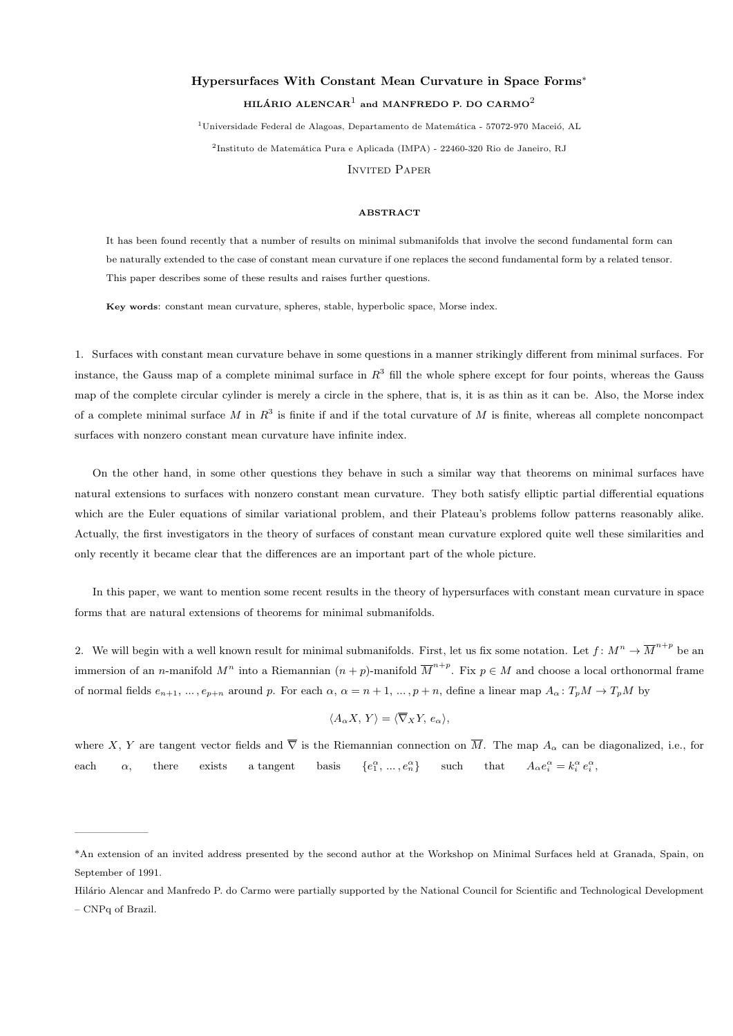## Hypersurfaces With Constant Mean Curvature in Space Forms<sup>∗</sup> HILÁRIO ALENCAR $^{\rm l}$  and MANFREDO P. DO CARMO $^{\rm 2}$

 $1$ Universidade Federal de Alagoas, Departamento de Matemática - 57072-970 Maceió, AL <sup>2</sup>Instituto de Matemática Pura e Aplicada (IMPA) - 22460-320 Rio de Janeiro, RJ INVITED PAPER

## **ABSTRACT**

It has been found recently that a number of results on minimal submanifolds that involve the second fundamental form can be naturally extended to the case of constant mean curvature if one replaces the second fundamental form by a related tensor. This paper describes some of these results and raises further questions.

Key words: constant mean curvature, spheres, stable, hyperbolic space, Morse index.

1. Surfaces with constant mean curvature behave in some questions in a manner strikingly different from minimal surfaces. For instance, the Gauss map of a complete minimal surface in  $R^3$  fill the whole sphere except for four points, whereas the Gauss map of the complete circular cylinder is merely a circle in the sphere, that is, it is as thin as it can be. Also, the Morse index of a complete minimal surface M in  $R^3$  is finite if and if the total curvature of M is finite, whereas all complete noncompact surfaces with nonzero constant mean curvature have infinite index.

On the other hand, in some other questions they behave in such a similar way that theorems on minimal surfaces have natural extensions to surfaces with nonzero constant mean curvature. They both satisfy elliptic partial differential equations which are the Euler equations of similar variational problem, and their Plateau's problems follow patterns reasonably alike. Actually, the first investigators in the theory of surfaces of constant mean curvature explored quite well these similarities and only recently it became clear that the differences are an important part of the whole picture.

In this paper, we want to mention some recent results in the theory of hypersurfaces with constant mean curvature in space forms that are natural extensions of theorems for minimal submanifolds.

2. We will begin with a well known result for minimal submanifolds. First, let us fix some notation. Let  $f: M^n \to \overline{M}^{n+p}$  be an immersion of an n-manifold  $M^n$  into a Riemannian  $(n+p)$ -manifold  $\overline{M}^{n+p}$ . Fix  $p \in M$  and choose a local orthonormal frame of normal fields  $e_{n+1}, \ldots, e_{p+n}$  around p. For each  $\alpha, \alpha = n+1, \ldots, p+n$ , define a linear map  $A_{\alpha}: T_pM \to T_pM$  by

$$
\langle A_{\alpha} X, Y \rangle = \langle \overline{\nabla}_X Y, e_{\alpha} \rangle,
$$

where X, Y are tangent vector fields and  $\overline{\nabla}$  is the Riemannian connection on  $\overline{M}$ . The map  $A_{\alpha}$  can be diagonalized, i.e., for each  $\alpha$ , there exists a tangent basis  $\{e_1^{\alpha},...,e_n^{\alpha}\}\$  such that  $A_{\alpha}e_i^{\alpha} = k_i^{\alpha}e_i^{\alpha}$ ,

——————–

<sup>\*</sup>An extension of an invited address presented by the second author at the Workshop on Minimal Surfaces held at Granada, Spain, on September of 1991.

Hilário Alencar and Manfredo P. do Carmo were partially supported by the National Council for Scientific and Technological Development – CNPq of Brazil.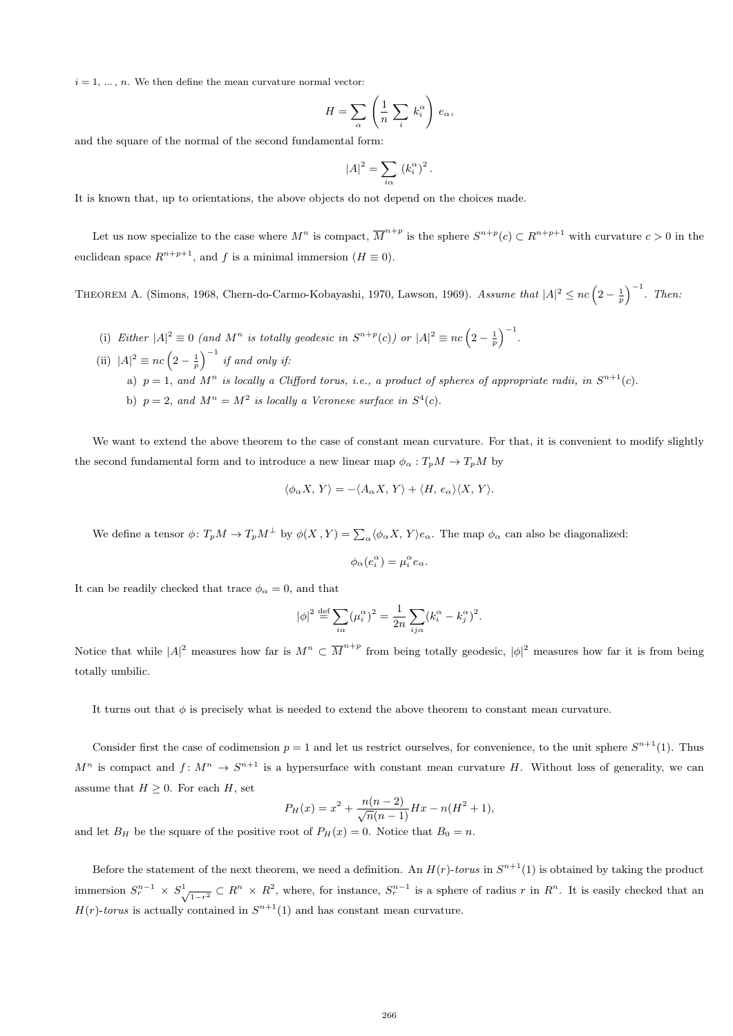$i = 1, \ldots, n$ . We then define the mean curvature normal vector:

$$
H = \sum_{\alpha} \left( \frac{1}{n} \sum_{i} k_i^{\alpha} \right) e_{\alpha},
$$

and the square of the normal of the second fundamental form:

$$
|A|^2 = \sum_{i\alpha} (k_i^{\alpha})^2
$$

.

It is known that, up to orientations, the above objects do not depend on the choices made.

Let us now specialize to the case where  $M^n$  is compact,  $\overline{M}^{n+p}$  is the sphere  $S^{n+p}(c) \subset R^{n+p+1}$  with curvature  $c > 0$  in the euclidean space  $R^{n+p+1}$ , and f is a minimal immersion  $(H \equiv 0)$ .

THEOREM A. (Simons, 1968, Chern-do-Carmo-Kobayashi, 1970, Lawson, 1969). Assume that  $|A|^2 \leq nc\left(2-\frac{1}{p}\right)^{-1}$ . Then:

- (i) Either  $|A|^2 \equiv 0$  (and  $M^n$  is totally geodesic in  $S^{n+p}(c)$ ) or  $|A|^2 \equiv nc\left(2-\frac{1}{p}\right)^{-1}$ .
- (ii)  $|A|^2 \equiv nc\left(2-\frac{1}{p}\right)^{-1}$  if and only if: a)  $p = 1$ , and  $M^n$  is locally a Clifford torus, i.e., a product of spheres of appropriate radii, in  $S^{n+1}(c)$ . b)  $p = 2$ , and  $M^n = M^2$  is locally a Veronese surface in  $S^4(c)$ .

We want to extend the above theorem to the case of constant mean curvature. For that, it is convenient to modify slightly the second fundamental form and to introduce a new linear map  $\phi_{\alpha}: T_pM \to T_pM$  by

$$
\langle \phi_{\alpha} X, Y \rangle = - \langle A_{\alpha} X, Y \rangle + \langle H, e_{\alpha} \rangle \langle X, Y \rangle.
$$

We define a tensor  $\phi \colon T_p M \to T_p M^{\perp}$  by  $\phi(X, Y) = \sum_{\alpha} \langle \phi_{\alpha} X, Y \rangle e_{\alpha}$ . The map  $\phi_{\alpha}$  can also be diagonalized:

$$
\phi_{\alpha}(e_i^{\alpha}) = \mu_i^{\alpha} e_{\alpha}.
$$

It can be readily checked that trace  $\phi_{\alpha} = 0$ , and that

$$
|\phi|^2 \stackrel{\text{def}}{=} \sum_{i\alpha} (\mu_i^{\alpha})^2 = \frac{1}{2n} \sum_{i\jmath\alpha} (k_i^{\alpha} - k_j^{\alpha})^2.
$$

Notice that while  $|A|^2$  measures how far is  $M^n \subset \overline{M}^{n+p}$  from being totally geodesic,  $|\phi|^2$  measures how far it is from being totally umbilic.

It turns out that  $\phi$  is precisely what is needed to extend the above theorem to constant mean curvature.

Consider first the case of codimension  $p = 1$  and let us restrict ourselves, for convenience, to the unit sphere  $S^{n+1}(1)$ . Thus  $M^n$  is compact and  $f: M^n \to S^{n+1}$  is a hypersurface with constant mean curvature H. Without loss of generality, we can assume that  $H \geq 0$ . For each H, set

$$
P_H(x) = x^2 + \frac{n(n-2)}{\sqrt{n}(n-1)}Hx - n(H^2 + 1),
$$

and let  $B_H$  be the square of the positive root of  $P_H(x) = 0$ . Notice that  $B_0 = n$ .

Before the statement of the next theorem, we need a definition. An  $H(r)$ -torus in  $S^{n+1}(1)$  is obtained by taking the product immersion  $S_r^{n-1} \times S_{\sqrt{1-r^2}}^1 \subset R^n \times R^2$ , where, for instance,  $S_r^{n-1}$  is a sphere of radius r in  $R^n$ . It is easily checked that an  $H(r)$ -torus is actually contained in  $S^{n+1}(1)$  and has constant mean curvature.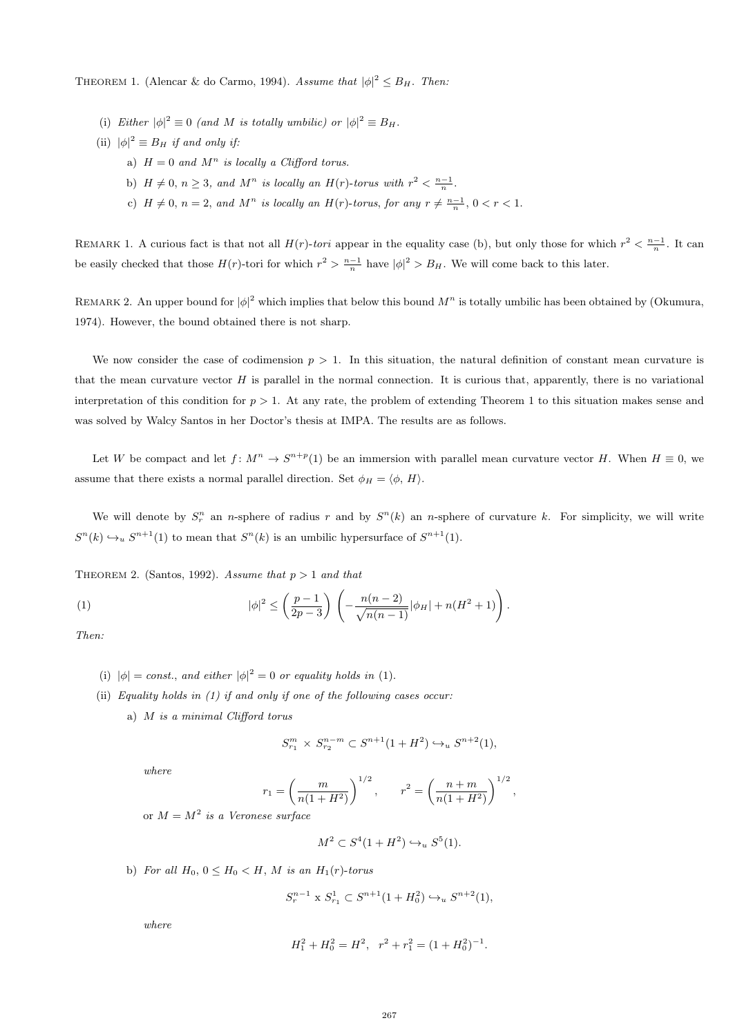THEOREM 1. (Alencar & do Carmo, 1994). Assume that  $|\phi|^2 \leq B_H$ . Then:

- (i) Either  $|\phi|^2 \equiv 0$  (and M is totally umbilic) or  $|\phi|^2 \equiv B_H$ .
- (ii)  $|\phi|^2 \equiv B_H$  if and only if:
	- a)  $H = 0$  and  $M^n$  is locally a Clifford torus.
	- b)  $H \neq 0, n \geq 3$ , and  $M^n$  is locally an  $H(r)$ -torus with  $r^2 < \frac{n-1}{n}$ .
	- c)  $H \neq 0$ ,  $n = 2$ , and  $M^n$  is locally an  $H(r)$ -torus, for any  $r \neq \frac{n-1}{n}$ ,  $0 < r < 1$ .

REMARK 1. A curious fact is that not all  $H(r)$ -tori appear in the equality case (b), but only those for which  $r^2 < \frac{n-1}{n}$ . It can be easily checked that those  $H(r)$ -tori for which  $r^2 > \frac{n-1}{n}$  have  $|\phi|^2 > B_H$ . We will come back to this later.

REMARK 2. An upper bound for  $|\phi|^2$  which implies that below this bound  $M^n$  is totally umbilic has been obtained by (Okumura, 1974). However, the bound obtained there is not sharp.

We now consider the case of codimension  $p > 1$ . In this situation, the natural definition of constant mean curvature is that the mean curvature vector  $H$  is parallel in the normal connection. It is curious that, apparently, there is no variational interpretation of this condition for  $p > 1$ . At any rate, the problem of extending Theorem 1 to this situation makes sense and was solved by Walcy Santos in her Doctor's thesis at IMPA. The results are as follows.

Let W be compact and let  $f: M^n \to S^{n+p}(1)$  be an immersion with parallel mean curvature vector H. When  $H \equiv 0$ , we assume that there exists a normal parallel direction. Set  $\phi_H = \langle \phi, H \rangle$ .

We will denote by  $S_r^n$  an n-sphere of radius r and by  $S^n(k)$  an n-sphere of curvature k. For simplicity, we will write  $S<sup>n</sup>(k) \hookrightarrow_u S<sup>n+1</sup>(1)$  to mean that  $S<sup>n</sup>(k)$  is an umbilic hypersurface of  $S<sup>n+1</sup>(1)$ .

THEOREM 2. (Santos, 1992). Assume that  $p > 1$  and that

(1) 
$$
|\phi|^2 \leq \left(\frac{p-1}{2p-3}\right) \left(-\frac{n(n-2)}{\sqrt{n(n-1)}}|\phi_H| + n(H^2+1)\right).
$$

Then:

- (i)  $|\phi| = const.$ , and either  $|\phi|^2 = 0$  or equality holds in (1).
- (ii) Equality holds in  $(1)$  if and only if one of the following cases occur:
	- a) M is a minimal Clifford torus

$$
S_{r_1}^m \times S_{r_2}^{n-m} \subset S^{n+1}(1+H^2) \hookrightarrow_u S^{n+2}(1),
$$

where

$$
r_1 = \left(\frac{m}{n(1+H^2)}\right)^{1/2}, \qquad r^2 = \left(\frac{n+m}{n(1+H^2)}\right)^{1/2},
$$

or  $M = M^2$  is a Veronese surface

$$
M^2 \subset S^4(1 + H^2) \hookrightarrow_u S^5(1).
$$

b) For all  $H_0$ ,  $0 \leq H_0 \leq H$ , M is an  $H_1(r)$ -torus

$$
S_r^{n-1} \times S_{r_1}^1 \subset S^{n+1}(1 + H_0^2) \hookrightarrow_u S^{n+2}(1),
$$

where

$$
H_1^2 + H_0^2 = H^2, \quad r^2 + r_1^2 = (1 + H_0^2)^{-1}.
$$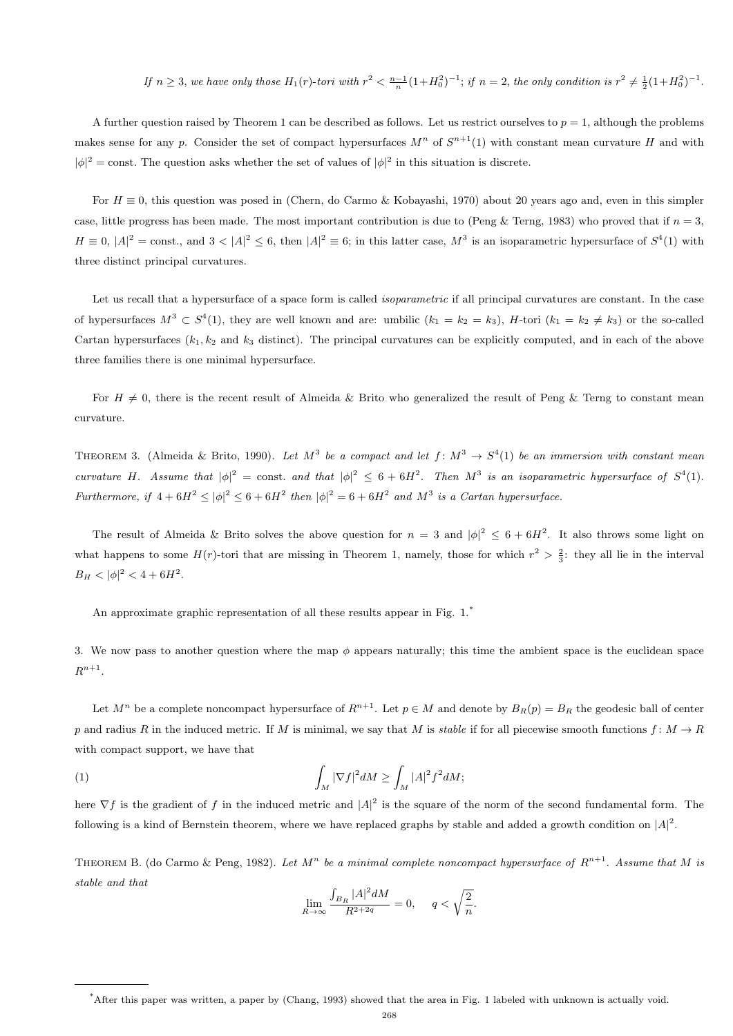If  $n \geq 3$ , we have only those  $H_1(r)$ -tori with  $r^2 < \frac{n-1}{n}(1+H_0^2)^{-1}$ ; if  $n = 2$ , the only condition is  $r^2 \neq \frac{1}{2}(1+H_0^2)^{-1}$ .

A further question raised by Theorem 1 can be described as follows. Let us restrict ourselves to  $p = 1$ , although the problems makes sense for any p. Consider the set of compact hypersurfaces  $M^n$  of  $S^{n+1}(1)$  with constant mean curvature H and with  $|\phi|^2$  = const. The question asks whether the set of values of  $|\phi|^2$  in this situation is discrete.

For  $H \equiv 0$ , this question was posed in (Chern, do Carmo & Kobayashi, 1970) about 20 years ago and, even in this simpler case, little progress has been made. The most important contribution is due to (Peng & Terng, 1983) who proved that if  $n = 3$ ,  $H \equiv 0, |A|^2 = \text{const.}$ , and  $3 < |A|^2 \leq 6$ , then  $|A|^2 \equiv 6$ ; in this latter case,  $M^3$  is an isoparametric hypersurface of  $S^4(1)$  with three distinct principal curvatures.

Let us recall that a hypersurface of a space form is called *isoparametric* if all principal curvatures are constant. In the case of hypersurfaces  $M^3 \,\subset S^4(1)$ , they are well known and are: umbilic  $(k_1 = k_2 = k_3)$ , H-tori  $(k_1 = k_2 \neq k_3)$  or the so-called Cartan hypersurfaces  $(k_1, k_2, k_3)$  distinct). The principal curvatures can be explicitly computed, and in each of the above three families there is one minimal hypersurface.

For  $H \neq 0$ , there is the recent result of Almeida & Brito who generalized the result of Peng & Terng to constant mean curvature.

THEOREM 3. (Almeida & Brito, 1990). Let  $M^3$  be a compact and let  $f: M^3 \to S^4(1)$  be an immersion with constant mean curvature H. Assume that  $|\phi|^2 = \text{const.}$  and that  $|\phi|^2 \leq 6 + 6H^2$ . Then  $M^3$  is an isoparametric hypersurface of  $S^4(1)$ . Furthermore, if  $4+6H^2 \le |\phi|^2 \le 6+6H^2$  then  $|\phi|^2 = 6+6H^2$  and  $M^3$  is a Cartan hypersurface.

The result of Almeida & Brito solves the above question for  $n = 3$  and  $|\phi|^2 \leq 6 + 6H^2$ . It also throws some light on what happens to some  $H(r)$ -tori that are missing in Theorem 1, namely, those for which  $r^2 > \frac{2}{3}$ : they all lie in the interval  $B_H < |\phi|^2 < 4 + 6H^2$ .

An approximate graphic representation of all these results appear in Fig. 1.<sup>\*</sup>

3. We now pass to another question where the map  $\phi$  appears naturally; this time the ambient space is the euclidean space  $R^{n+1}$ .

Let  $M^n$  be a complete noncompact hypersurface of  $R^{n+1}$ . Let  $p \in M$  and denote by  $B_R(p) = B_R$  the geodesic ball of center p and radius R in the induced metric. If M is minimal, we say that M is stable if for all piecewise smooth functions  $f: M \to R$ with compact support, we have that

(1) 
$$
\int_M |\nabla f|^2 dM \ge \int_M |A|^2 f^2 dM;
$$

here  $\nabla f$  is the gradient of f in the induced metric and  $|A|^2$  is the square of the norm of the second fundamental form. The following is a kind of Bernstein theorem, where we have replaced graphs by stable and added a growth condition on  $|A|^2$ .

THEOREM B. (do Carmo & Peng, 1982). Let  $M^n$  be a minimal complete noncompact hypersurface of  $R^{n+1}$ . Assume that M is stable and that

$$
\lim_{R \to \infty} \frac{\int_{B_R} |A|^2 dM}{R^{2+2q}} = 0, \quad q < \sqrt{\frac{2}{n}}.
$$

<sup>\*</sup>After this paper was written, a paper by (Chang, 1993) showed that the area in Fig. 1 labeled with unknown is actually void.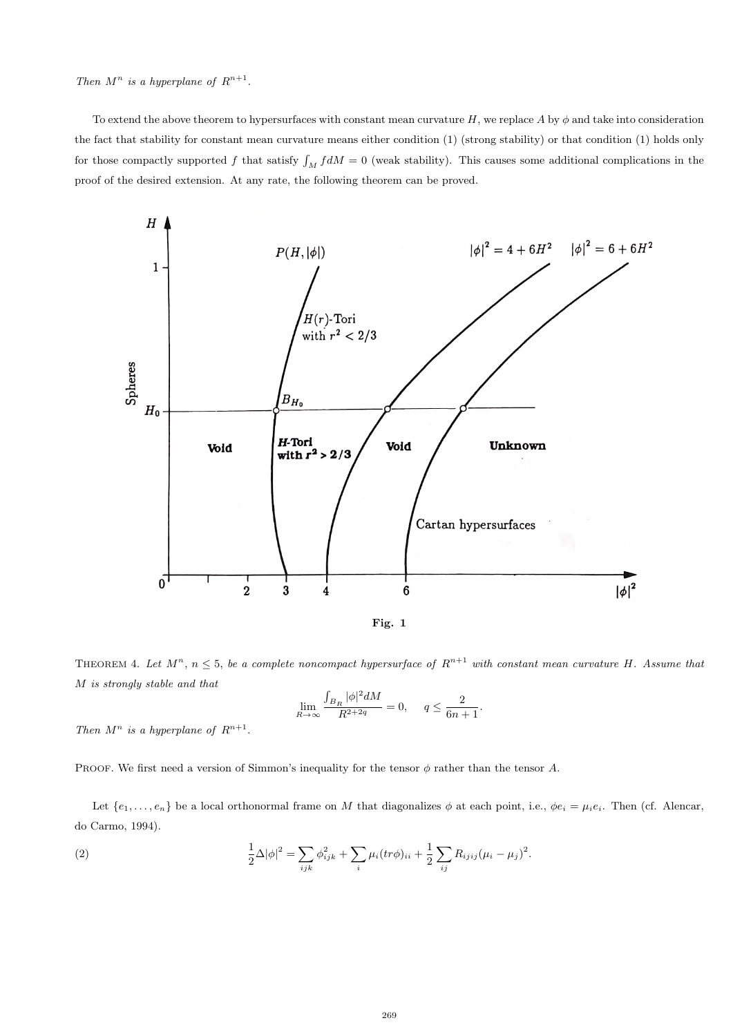Then  $M^n$  is a hyperplane of  $R^{n+1}$ .

To extend the above theorem to hypersurfaces with constant mean curvature H, we replace A by  $\phi$  and take into consideration the fact that stability for constant mean curvature means either condition (1) (strong stability) or that condition (1) holds only for those compactly supported f that satisfy  $\int_M f dM = 0$  (weak stability). This causes some additional complications in the proof of the desired extension. At any rate, the following theorem can be proved.



THEOREM 4. Let  $M^n$ ,  $n \leq 5$ , be a complete noncompact hypersurface of  $R^{n+1}$  with constant mean curvature H. Assume that M is strongly stable and that

$$
\lim_{R \to \infty} \frac{\int_{B_R} |\phi|^2 dM}{R^{2+2q}} = 0, \quad q \le \frac{2}{6n+1}.
$$

Then  $M^n$  is a hyperplane of  $R^{n+1}$ .

PROOF. We first need a version of Simmon's inequality for the tensor  $\phi$  rather than the tensor A.

Let  $\{e_1, \ldots, e_n\}$  be a local orthonormal frame on M that diagonalizes  $\phi$  at each point, i.e.,  $\phi e_i = \mu_i e_i$ . Then (cf. Alencar, do Carmo, 1994).

(2) 
$$
\frac{1}{2}\Delta |\phi|^2 = \sum_{ijk} \phi_{ijk}^2 + \sum_i \mu_i (tr\phi)_{ii} + \frac{1}{2} \sum_{ij} R_{ijij} (\mu_i - \mu_j)^2.
$$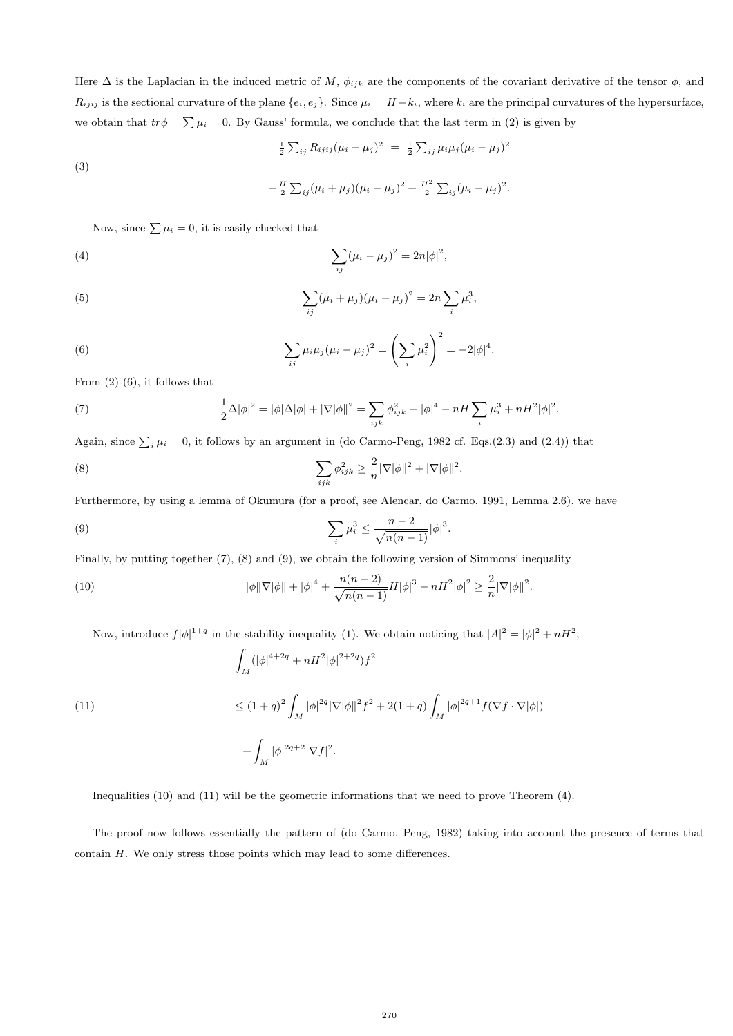Here  $\Delta$  is the Laplacian in the induced metric of M,  $\phi_{ijk}$  are the components of the covariant derivative of the tensor  $\phi$ , and  $R_{ijij}$  is the sectional curvature of the plane  $\{e_i, e_j\}$ . Since  $\mu_i = H - k_i$ , where  $k_i$  are the principal curvatures of the hypersurface, we obtain that  $tr\phi = \sum \mu_i = 0$ . By Gauss' formula, we conclude that the last term in (2) is given by

(3)  

$$
\frac{1}{2} \sum_{ij} R_{ijij} (\mu_i - \mu_j)^2 = \frac{1}{2} \sum_{ij} \mu_i \mu_j (\mu_i - \mu_j)^2
$$

$$
-\frac{H}{2} \sum_{ij} (\mu_i + \mu_j) (\mu_i - \mu_j)^2 + \frac{H^2}{2} \sum_{ij} (\mu_i - \mu_j)^2.
$$

Now, since  $\sum \mu_i = 0$ , it is easily checked that

(4) 
$$
\sum_{ij} (\mu_i - \mu_j)^2 = 2n|\phi|^2,
$$

(5) 
$$
\sum_{ij} (\mu_i + \mu_j)(\mu_i - \mu_j)^2 = 2n \sum_i \mu_i^3,
$$

(6) 
$$
\sum_{ij} \mu_i \mu_j (\mu_i - \mu_j)^2 = \left(\sum_i \mu_i^2\right)^2 = -2|\phi|^4.
$$

From  $(2)-(6)$ , it follows that

(7) 
$$
\frac{1}{2}\Delta|\phi|^2 = |\phi|\Delta|\phi| + |\nabla|\phi||^2 = \sum_{ijk}\phi_{ijk}^2 - |\phi|^4 - nH\sum_i\mu_i^3 + nH^2|\phi|^2.
$$

Again, since  $\sum_i \mu_i = 0$ , it follows by an argument in (do Carmo-Peng, 1982 cf. Eqs.(2.3) and (2.4)) that

(8) 
$$
\sum_{ijk} \phi_{ijk}^2 \geq \frac{2}{n} |\nabla |\phi||^2 + |\nabla |\phi||^2.
$$

Furthermore, by using a lemma of Okumura (for a proof, see Alencar, do Carmo, 1991, Lemma 2.6), we have

(9) 
$$
\sum_{i} \mu_i^3 \leq \frac{n-2}{\sqrt{n(n-1)}} |\phi|^3.
$$

Finally, by putting together (7), (8) and (9), we obtain the following version of Simmons' inequality

(10) 
$$
|\phi||\nabla|\phi|| + |\phi|^4 + \frac{n(n-2)}{\sqrt{n(n-1)}}H|\phi|^3 - nH^2|\phi|^2 \geq \frac{2}{n}|\nabla|\phi||^2.
$$

Now, introduce  $f|\phi|^{1+q}$  in the stability inequality (1). We obtain noticing that  $|A|^2 = |\phi|^2 + nH^2$ ,

(11)  
\n
$$
\int_{M} (|\phi|^{4+2q} + nH^2 |\phi|^{2+2q}) f^2
$$
\n
$$
\leq (1+q)^2 \int_{M} |\phi|^{2q} |\nabla |\phi||^2 f^2 + 2(1+q) \int_{M} |\phi|^{2q+1} f(\nabla f \cdot \nabla |\phi|)
$$
\n
$$
+ \int_{M} |\phi|^{2q+2} |\nabla f|^2.
$$

Inequalities (10) and (11) will be the geometric informations that we need to prove Theorem (4).

The proof now follows essentially the pattern of (do Carmo, Peng, 1982) taking into account the presence of terms that contain H. We only stress those points which may lead to some differences.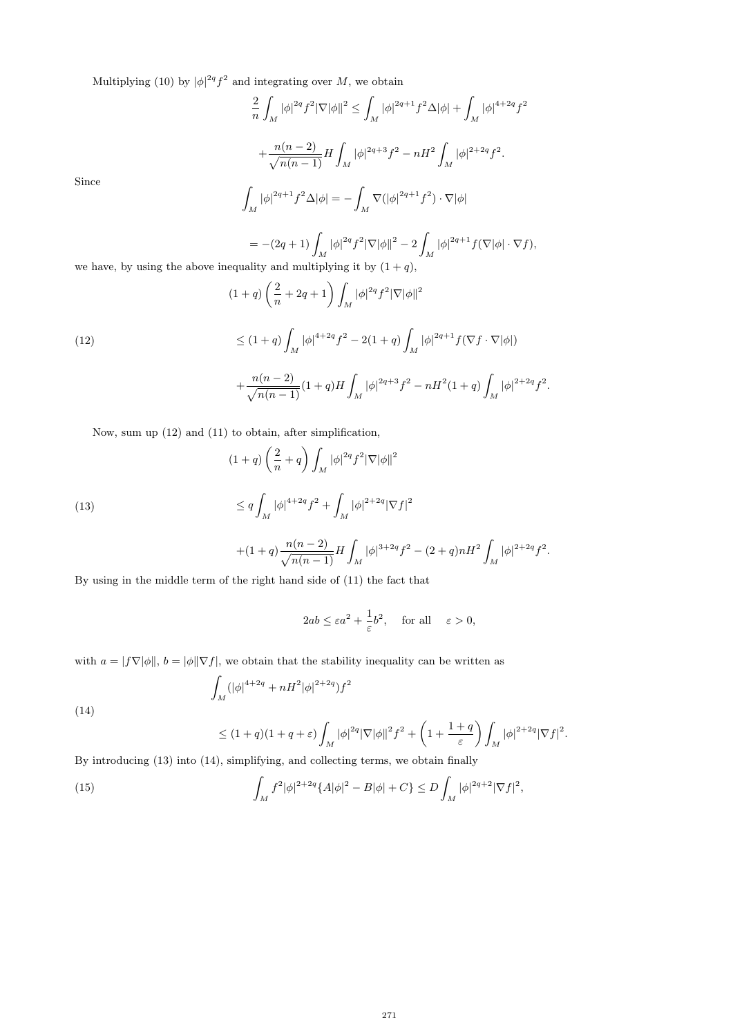Multiplying (10) by  $|\phi|^{2q} f^2$  and integrating over M, we obtain

$$
\frac{2}{n} \int_M |\phi|^{2q} f^2 |\nabla |\phi||^2 \le \int_M |\phi|^{2q+1} f^2 \Delta |\phi| + \int_M |\phi|^{4+2q} f^2
$$

$$
+ \frac{n(n-2)}{\sqrt{n(n-1)}} H \int_M |\phi|^{2q+3} f^2 - nH^2 \int_M |\phi|^{2+2q} f^2.
$$

$$
\int |\phi|^{2q+1} f^2 \Delta |\phi| = - \int \nabla (|\phi|^{2q+1} f^2) \cdot \nabla |\phi|
$$

Since

(14)

$$
\int_M |\phi|^{2q+1} f^2 \Delta |\phi| = - \int_M \nabla (|\phi|^{2q+1} f^2) \cdot \nabla |\phi|
$$

$$
= -(2q+1)\int_M |\phi|^{2q} f^2 |\nabla |\phi||^2 - 2 \int_M |\phi|^{2q+1} f(\nabla |\phi| \cdot \nabla f),
$$
   
uality and multiplying it by  $(1+q)$ .

we have, by using the above inequality and multiplying it by  $(1+q),$  $\frac{1 \text{ multiplying it}}{2 \cdot \frac{c}{c}}$ 

(12)  
\n
$$
(1+q)\left(\frac{2}{n}+2q+1\right)\int_M |\phi|^{2q} f^2 |\nabla |\phi||^2
$$
\n
$$
\leq (1+q)\int_M |\phi|^{4+2q} f^2 - 2(1+q)\int_M |\phi|^{2q+1} f(\nabla f \cdot \nabla |\phi|)
$$
\n
$$
+\frac{n(n-2)}{\sqrt{n(n-1)}} (1+q)H \int_M |\phi|^{2q+3} f^2 - nH^2 (1+q) \int_M |\phi|^{2+2q} f^2.
$$

Now, sum up (12) and (11) to obtain, after simplification,

(13) 
$$
(1+q)\left(\frac{2}{n}+q\right)\int_{M}|\phi|^{2q}f^{2}|\nabla|\phi||^{2} \leq q\int_{M}|\phi|^{4+2q}f^{2}+\int_{M}|\phi|^{2+2q}|\nabla f|^{2}
$$

$$
+(1+q)\frac{n(n-2)}{\sqrt{n(n-1)}}H\int_M |\phi|^{3+2q}f^2-(2+q)nH^2\int_M |\phi|^{2+2q}f^2.
$$

By using in the middle term of the right hand side of (11) the fact that

$$
2ab \le \varepsilon a^2 + \frac{1}{\varepsilon}b^2, \quad \text{for all} \quad \varepsilon > 0,
$$

 $\setminus$ 

 $\int_M |\phi|^{2+2q} |\nabla f|^2.$ 

with  $a = |f\nabla|\phi||$ ,  $b = |\phi||\nabla f|$ , we obtain that the stability inequality can be written as

$$
\int_M (|\phi|^{4+2q} + nH^2 |\phi|^{2+2q}) f^2
$$

$$
\leq (1+q)(1+q+\varepsilon)\int_M |\phi|^{2q}|\nabla|\phi||^2f^2+\bigg(1+\frac{1+q}{\varepsilon}
$$

By introducing (13) into (14), simplifying, and collecting terms, we obtain finally

(15) 
$$
\int_M f^2 |\phi|^{2+2q} \{A|\phi|^2 - B|\phi| + C\} \le D \int_M |\phi|^{2q+2} |\nabla f|^2,
$$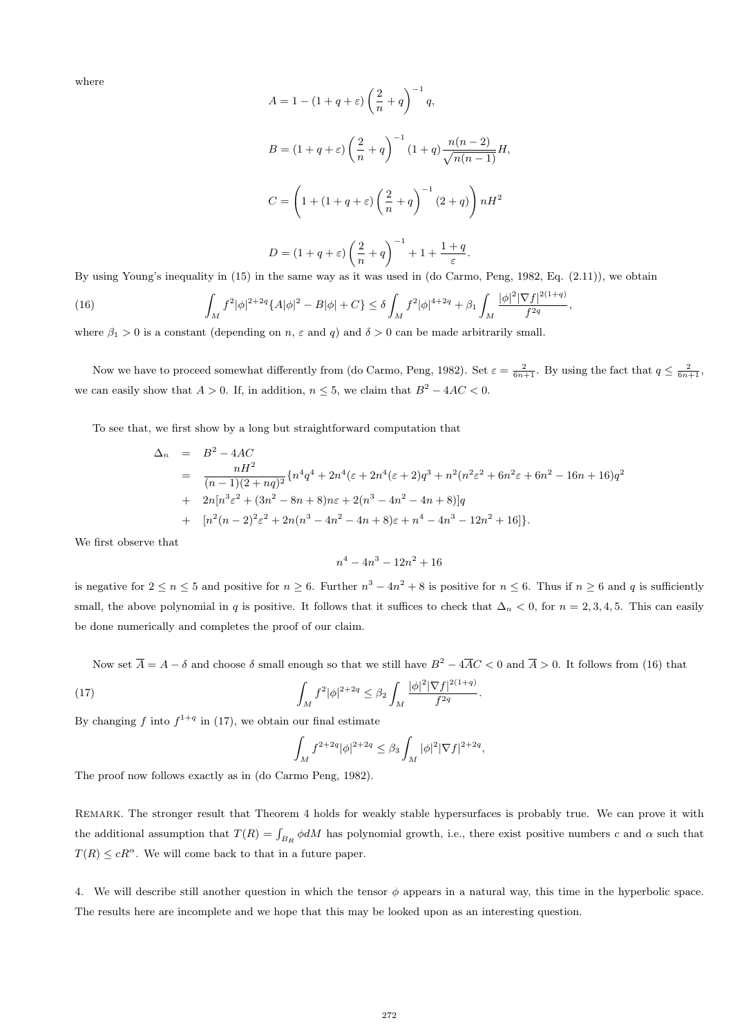where

$$
A = 1 - (1 + q + \varepsilon) \left(\frac{2}{n} + q\right)^{-1} q,
$$
  
\n
$$
B = (1 + q + \varepsilon) \left(\frac{2}{n} + q\right)^{-1} (1 + q) \frac{n(n-2)}{\sqrt{n(n-1)}} H,
$$
  
\n
$$
C = \left(1 + (1 + q + \varepsilon) \left(\frac{2}{n} + q\right)^{-1} (2 + q)\right) nH^2
$$
  
\n
$$
D = (1 + q + \varepsilon) \left(\frac{2}{n} + q\right)^{-1} + 1 + \frac{1 + q}{\varepsilon}.
$$

By using Young's inequality in (15) in the same way as it was used in (do Carmo, Peng, 1982, Eq. (2.11)), we obtain

(16) 
$$
\int_M f^2 |\phi|^{2+2q} \{A|\phi|^2 - B|\phi| + C\} \leq \delta \int_M f^2 |\phi|^{4+2q} + \beta_1 \int_M \frac{|\phi|^2 |\nabla f|^{2(1+q)}}{f^{2q}},
$$

where  $\beta_1 > 0$  is a constant (depending on n,  $\varepsilon$  and q) and  $\delta > 0$  can be made arbitrarily small.

Now we have to proceed somewhat differently from (do Carmo, Peng, 1982). Set  $\varepsilon = \frac{2}{6n+1}$ . By using the fact that  $q \leq \frac{2}{6n+1}$ , we can easily show that  $A > 0$ . If, in addition,  $n \leq 5$ , we claim that  $B^2 - 4AC < 0$ .

To see that, we first show by a long but straightforward computation that

$$
\Delta_n = B^2 - 4AC
$$
  
= 
$$
\frac{nH^2}{(n-1)(2+nq)^2} \{n^4q^4 + 2n^4(\varepsilon + 2n^4(\varepsilon + 2)q^3 + n^2(n^2\varepsilon^2 + 6n^2\varepsilon + 6n^2 - 16n + 16)q^2
$$
  
+ 
$$
2n[n^3\varepsilon^2 + (3n^2 - 8n + 8)n\varepsilon + 2(n^3 - 4n^2 - 4n + 8)]q
$$
  
+ 
$$
[n^2(n-2)^2\varepsilon^2 + 2n(n^3 - 4n^2 - 4n + 8)\varepsilon + n^4 - 4n^3 - 12n^2 + 16]\}.
$$

We first observe that

$$
n^4 - 4n^3 - 12n^2 + 16
$$

is negative for  $2 \le n \le 5$  and positive for  $n \ge 6$ . Further  $n^3 - 4n^2 + 8$  is positive for  $n \le 6$ . Thus if  $n \ge 6$  and q is sufficiently small, the above polynomial in q is positive. It follows that it suffices to check that  $\Delta_n < 0$ , for  $n = 2, 3, 4, 5$ . This can easily be done numerically and completes the proof of our claim.

Now set  $\overline{A} = A - \delta$  and choose  $\delta$  small enough so that we still have  $B^2 - 4\overline{AC} < 0$  and  $\overline{A} > 0$ . It follows from (16) that

.

(17) 
$$
\int_M f^2 |\phi|^{2+2q} \leq \beta_2 \int_M \frac{|\phi|^2 |\nabla f|^{2(1+q)}}{f^{2q}}
$$

By changing f into  $f^{1+q}$  in (17), we obtain our final estimate

$$
\int_M f^{2+2q} |\phi|^{2+2q} \le \beta_3 \int_M |\phi|^2 |\nabla f|^{2+2q},
$$

The proof now follows exactly as in (do Carmo Peng, 1982).

REMARK. The stronger result that Theorem 4 holds for weakly stable hypersurfaces is probably true. We can prove it with the additional assumption that  $T(R) = \int_{B_R} \phi dM$  has polynomial growth, i.e., there exist positive numbers c and  $\alpha$  such that  $T(R) \leq cR^{\alpha}$ . We will come back to that in a future paper.

4. We will describe still another question in which the tensor  $\phi$  appears in a natural way, this time in the hyperbolic space. The results here are incomplete and we hope that this may be looked upon as an interesting question.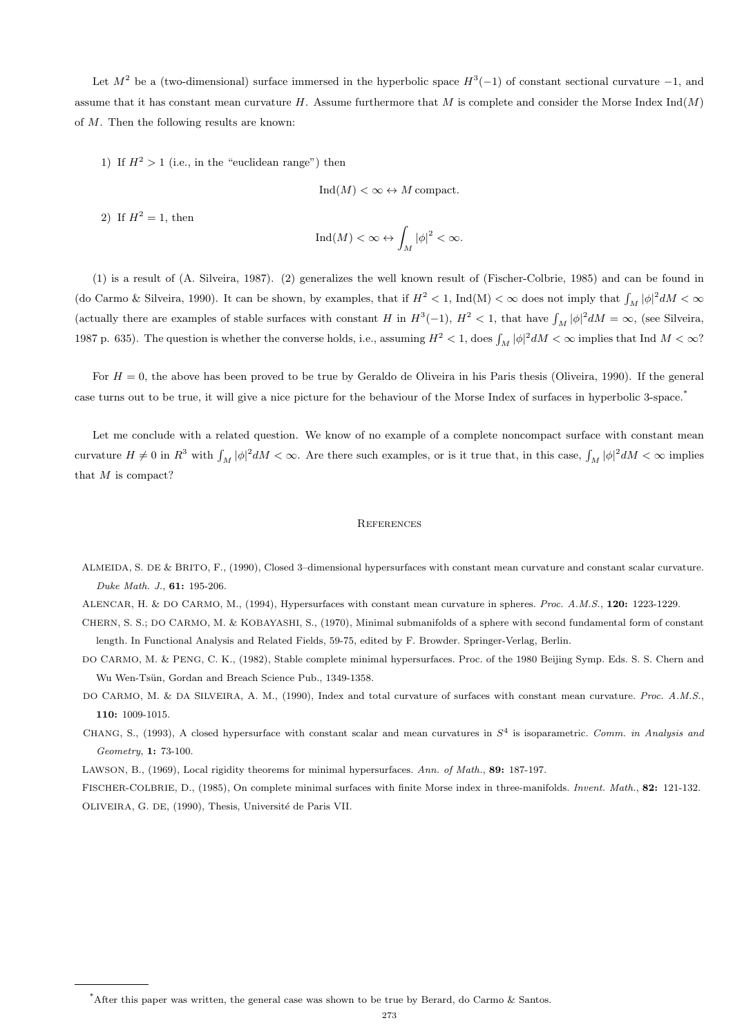Let  $M^2$  be a (two-dimensional) surface immersed in the hyperbolic space  $H^3(-1)$  of constant sectional curvature  $-1$ , and assume that it has constant mean curvature H. Assume furthermore that M is complete and consider the Morse Index  $Ind(M)$ of M. Then the following results are known:

1) If  $H^2 > 1$  (i.e., in the "euclidean range") then

$$
Ind(M) < \infty \leftrightarrow M
$$
 compact.

2) If  $H^2 = 1$ , then

$$
\mathrm{Ind}(M)<\infty \leftrightarrow \int_M |\phi|^2<\infty.
$$

(1) is a result of (A. Silveira, 1987). (2) generalizes the well known result of (Fischer-Colbrie, 1985) and can be found in (do Carmo & Silveira, 1990). It can be shown, by examples, that if  $H^2 < 1$ , Ind(M)  $< \infty$  does not imply that  $\int_M |\phi|^2 dM < \infty$ (actually there are examples of stable surfaces with constant H in  $H^3(-1)$ ,  $H^2 < 1$ , that have  $\int_M |\phi|^2 dM = \infty$ , (see Silveira, 1987 p. 635). The question is whether the converse holds, i.e., assuming  $H^2 < 1$ , does  $\int_M |\phi|^2 dM < \infty$  implies that Ind  $M < \infty$ ?

For  $H = 0$ , the above has been proved to be true by Geraldo de Oliveira in his Paris thesis (Oliveira, 1990). If the general case turns out to be true, it will give a nice picture for the behaviour of the Morse Index of surfaces in hyperbolic 3-space.\*

Let me conclude with a related question. We know of no example of a complete noncompact surface with constant mean curvature  $H \neq 0$  in  $R^3$  with  $\int_M |\phi|^2 dM < \infty$ . Are there such examples, or is it true that, in this case,  $\int_M |\phi|^2 dM < \infty$  implies that M is compact?

## **REFERENCES**

ALMEIDA, S. DE & BRITO, F., (1990), Closed 3–dimensional hypersurfaces with constant mean curvature and constant scalar curvature. Duke Math. J., 61: 195-206.

ALENCAR, H. & DO CARMO, M., (1994), Hypersurfaces with constant mean curvature in spheres. Proc. A.M.S., 120: 1223-1229.

- CHERN, S. S.; DO CARMO, M. & KOBAYASHI, S., (1970), Minimal submanifolds of a sphere with second fundamental form of constant length. In Functional Analysis and Related Fields, 59-75, edited by F. Browder. Springer-Verlag, Berlin.
- DO CARMO, M. & PENG, C. K., (1982), Stable complete minimal hypersurfaces. Proc. of the 1980 Beijing Symp. Eds. S. S. Chern and Wu Wen-Tsün, Gordan and Breach Science Pub., 1349-1358.
- DO CARMO, M. & DA SILVEIRA, A. M., (1990), Index and total curvature of surfaces with constant mean curvature. Proc. A.M.S., 110: 1009-1015.
- CHANG, S., (1993), A closed hypersurface with constant scalar and mean curvatures in  $S<sup>4</sup>$  is isoparametric. Comm. in Analysis and Geometry, 1: 73-100.

LAWSON, B., (1969), Local rigidity theorems for minimal hypersurfaces. Ann. of Math., 89: 187-197.

FISCHER-COLBRIE, D., (1985), On complete minimal surfaces with finite Morse index in three-manifolds. Invent. Math., 82: 121-132. OLIVEIRA, G. DE, (1990), Thesis, Université de Paris VII.

<sup>\*</sup>After this paper was written, the general case was shown to be true by Berard, do Carmo & Santos.